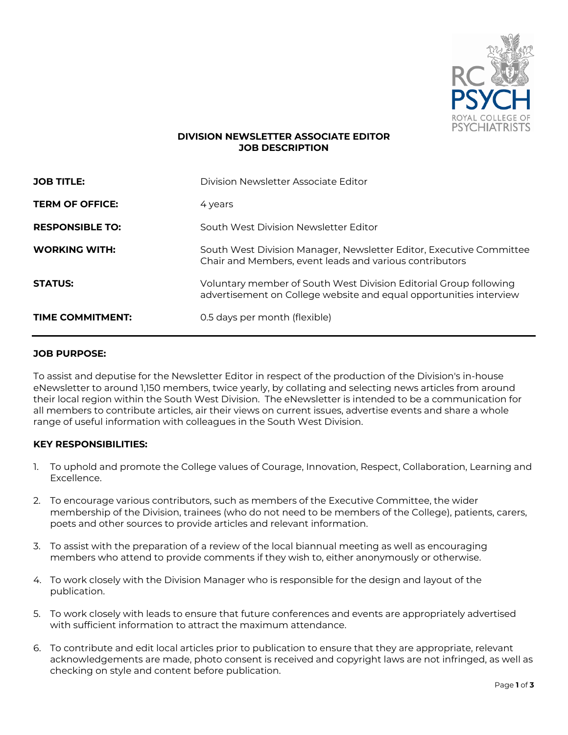

# **DIVISION NEWSLETTER ASSOCIATE EDITOR JOB DESCRIPTION**

| <b>JOB TITLE:</b>       | Division Newsletter Associate Editor                                                                                                    |
|-------------------------|-----------------------------------------------------------------------------------------------------------------------------------------|
| <b>TERM OF OFFICE:</b>  | 4 years                                                                                                                                 |
| <b>RESPONSIBLE TO:</b>  | South West Division Newsletter Editor                                                                                                   |
| <b>WORKING WITH:</b>    | South West Division Manager, Newsletter Editor, Executive Committee<br>Chair and Members, event leads and various contributors          |
| <b>STATUS:</b>          | Voluntary member of South West Division Editorial Group following<br>advertisement on College website and equal opportunities interview |
| <b>TIME COMMITMENT:</b> | 0.5 days per month (flexible)                                                                                                           |

## **JOB PURPOSE:**

To assist and deputise for the Newsletter Editor in respect of the production of the Division's in-house eNewsletter to around 1,150 members, twice yearly, by collating and selecting news articles from around their local region within the South West Division. The eNewsletter is intended to be a communication for all members to contribute articles, air their views on current issues, advertise events and share a whole range of useful information with colleagues in the South West Division.

## **KEY RESPONSIBILITIES:**

- 1. To uphold and promote the College values of Courage, Innovation, Respect, Collaboration, Learning and Excellence.
- 2. To encourage various contributors, such as members of the Executive Committee, the wider membership of the Division, trainees (who do not need to be members of the College), patients, carers, poets and other sources to provide articles and relevant information.
- 3. To assist with the preparation of a review of the local biannual meeting as well as encouraging members who attend to provide comments if they wish to, either anonymously or otherwise.
- 4. To work closely with the Division Manager who is responsible for the design and layout of the publication.
- 5. To work closely with leads to ensure that future conferences and events are appropriately advertised with sufficient information to attract the maximum attendance.
- 6. To contribute and edit local articles prior to publication to ensure that they are appropriate, relevant acknowledgements are made, photo consent is received and copyright laws are not infringed, as well as checking on style and content before publication.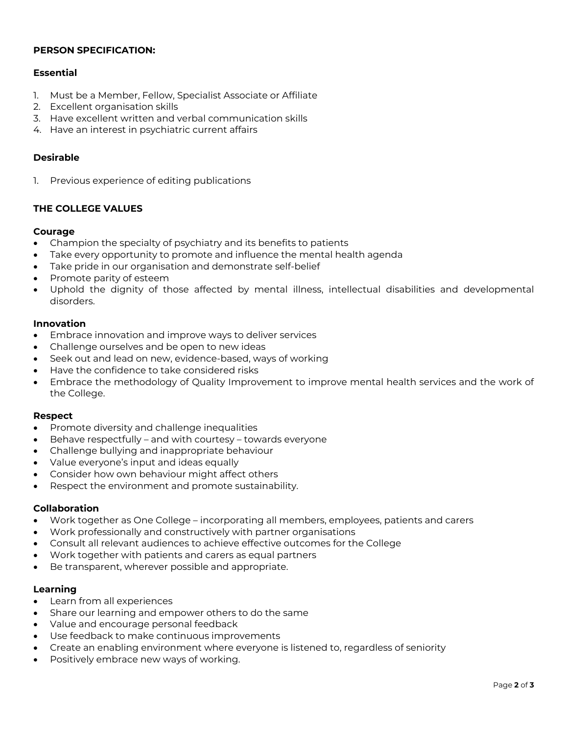# **PERSON SPECIFICATION:**

## **Essential**

- 1. Must be a Member, Fellow, Specialist Associate or Affiliate
- 2. Excellent organisation skills
- 3. Have excellent written and verbal communication skills
- 4. Have an interest in psychiatric current affairs

### **Desirable**

1. Previous experience of editing publications

## **THE COLLEGE VALUES**

#### **Courage**

- Champion the specialty of psychiatry and its benefits to patients
- Take every opportunity to promote and influence the mental health agenda
- Take pride in our organisation and demonstrate self-belief
- Promote parity of esteem
- Uphold the dignity of those affected by mental illness, intellectual disabilities and developmental disorders.

#### **Innovation**

- Embrace innovation and improve ways to deliver services
- Challenge ourselves and be open to new ideas
- Seek out and lead on new, evidence‐based, ways of working
- Have the confidence to take considered risks
- Embrace the methodology of Quality Improvement to improve mental health services and the work of the College.

#### **Respect**

- Promote diversity and challenge inequalities
- Behave respectfully and with courtesy towards everyone
- Challenge bullying and inappropriate behaviour
- Value everyone's input and ideas equally
- Consider how own behaviour might affect others
- Respect the environment and promote sustainability.

#### **Collaboration**

- Work together as One College incorporating all members, employees, patients and carers
- Work professionally and constructively with partner organisations
- Consult all relevant audiences to achieve effective outcomes for the College
- Work together with patients and carers as equal partners
- Be transparent, wherever possible and appropriate.

#### **Learning**

- Learn from all experiences
- Share our learning and empower others to do the same
- Value and encourage personal feedback
- Use feedback to make continuous improvements
- Create an enabling environment where everyone is listened to, regardless of seniority
- Positively embrace new ways of working.